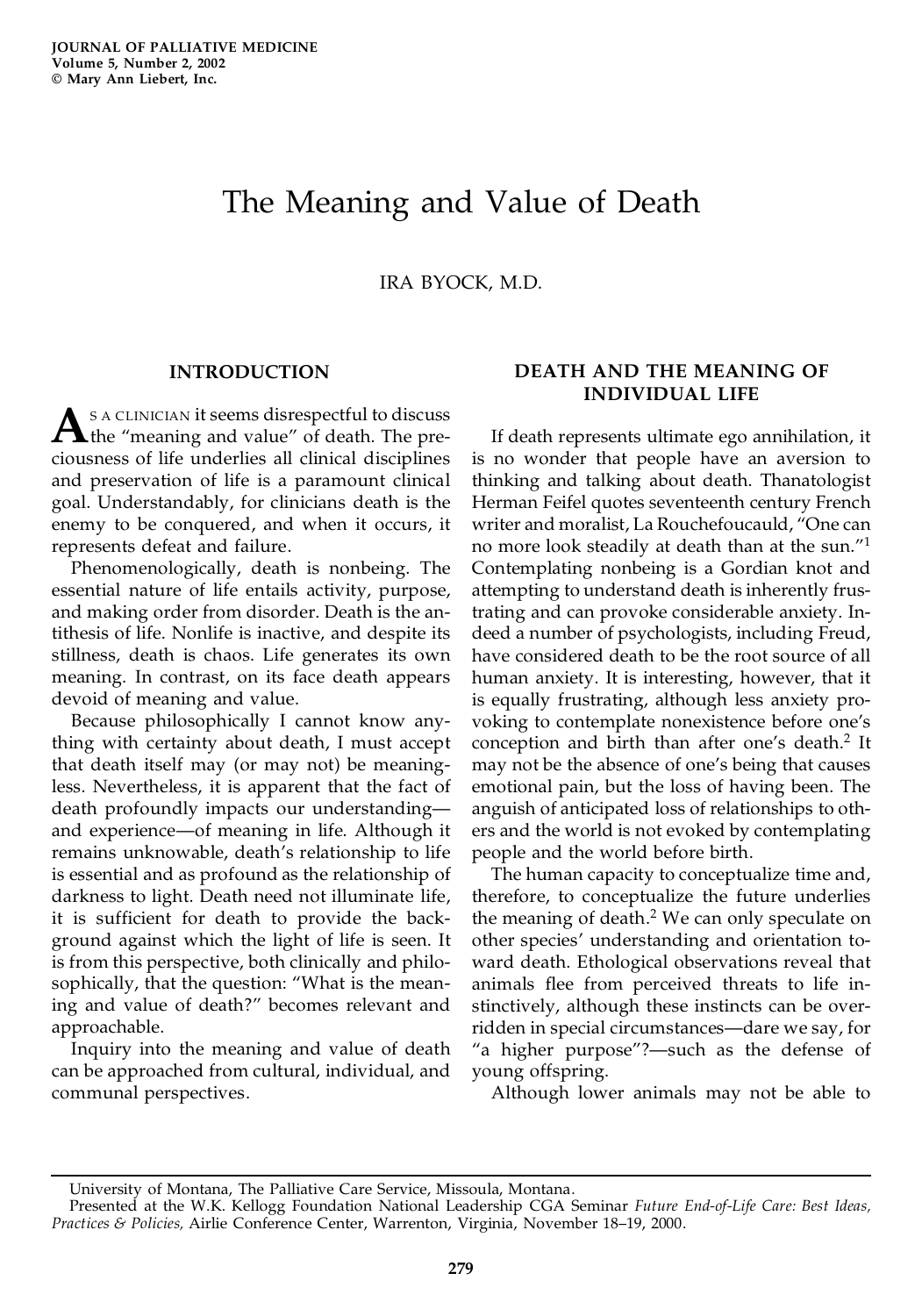# The Meaning and Value of Death

IRA BYOCK, M.D.

#### **INTRODUCTION**

A<sup>S A CLINICIAN it seems disrespectful to discuss<br>the "meaning and value" of death. The pre-</sup> <sup>S</sup> <sup>A</sup> CLINICIAN it seems disrespectful to discuss ciousness of life underlies all clinical disciplines and preservation of life is a paramount clinical goal. Understandably, for clinicians death is the enemy to be conquered, and when it occurs, it represents defeat and failure.

Phenomenologically, death is nonbeing. The essential nature of life entails activity, purpose, and making order from disorder. Death is the antithesis of life. Nonlife is inactive, and despite its stillness, death is chaos. Life generates its own meaning. In contrast, on its face death appears devoid of meaning and value.

Because philosophically I cannot know anything with certainty about death, I must accept that death itself may (or may not) be meaningless. Nevertheless, it is apparent that the fact of death profoundly impacts our understanding and experience—of meaning in life. Although it remains unknowable, death's relationship to life is essential and as profound as the relationship of darkness to light. Death need not illuminate life, it is sufficient for death to provide the back ground against which the light of life is seen. It is from this perspective, both clinically and philo sophically, that the question: "What is the meaning and value of death?" becomes relevant and approachable.

Inquiry into the meaning and value of death can be approached from cultural, individual, and communal perspectives.

#### **DEATH AND THE MEANING OF INDIVIDUAL LIFE**

If death represents ultimate ego annihilation, it is no wonder that people have an aversion to thinking and talking about death. Thanatologist Herman Feifel quotes seventeenth century French writer and moralist, La Rouchefoucauld, "One can no more look steadily at death than at the sun. $^{\prime\prime 1}$ Contemplating nonbeing is a Gordian knot and attempting to understand death is inherently frustrating and can provoke considerable anxiety. In deed a number of psychologists, including Freud, have considered death to be the root source of all human anxiety. It is interesting, however, that it is equally frustrating, although less anxiety pro voking to contemplate nonexistence before one's conception and birth than after one's death.<sup>2</sup> It may not be the absence of one's being that causes emotional pain, but the loss of having been. The anguish of anticipated loss of relationships to oth ers and the world is not evoked by contemplating people and the world before birth.

The human capacity to conceptualize time and, therefore, to conceptualize the future underlies the meaning of death.<sup>2</sup> We can only speculate on other species' understanding and orientation to ward death. Ethological observations reveal that animals flee from perceived threats to life in stinctively, although these instincts can be over ridden in special circumstances—dare we say, for "a higher purpose"?—such as the defense of young offspring.

Although lower animals may not be able to

University of Montana, The Palliative Care Service, Missoula, Montana.

Presented at the W.K. Kellogg Foundation National Leadership CGA Seminar *Future End-of-Life Care: Best Ideas, Practices & Policies,* Airlie Conference Center, Warrenton, Virginia, November 18–19, 2000.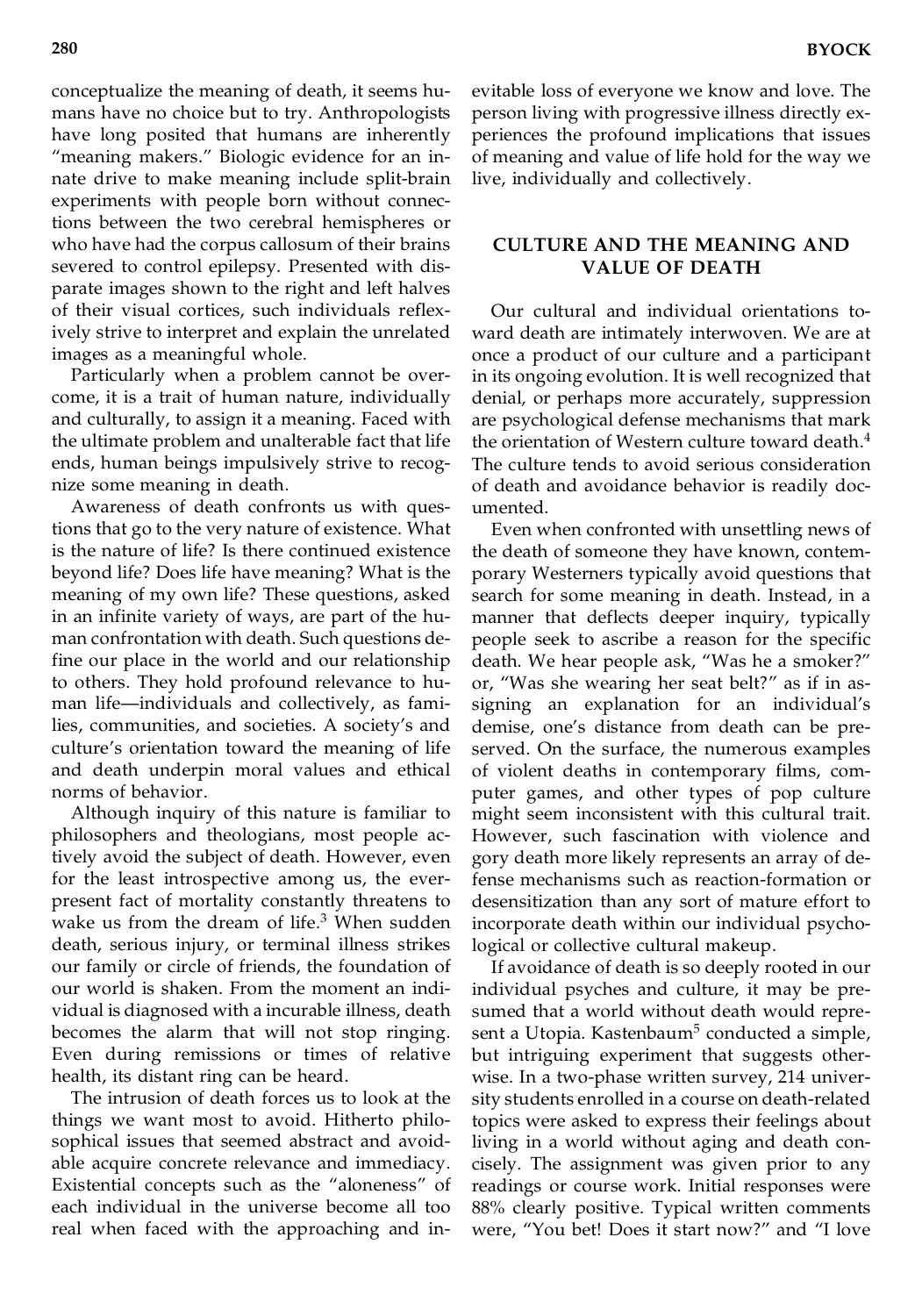conceptualize the meaning of death, it seems hu mans have no choice but to try. Anthropologists have long posited that humans are inherently "meaning makers." Biologic evidence for an in nate drive to make meaning include split-brain experiments with people born without connections between the two cerebral hemispheres or who have had the corpus callosum of their brains severed to control epilepsy. Presented with dis parate images shown to the right and left halves of their visual cortices, such individuals reflexively strive to interpret and explain the unrelated images as a meaningful whole.

Particularly when a problem cannot be over come, it is a trait of human nature, individually and culturally, to assign it a meaning. Faced with the ultimate problem and unalterable fact that life ends, human beings impulsively strive to recog nize some meaning in death.

Awareness of death confronts us with questions that go to the very nature of existence. What is the nature of life? Is there continued existence beyond life? Does life have meaning? What is the meaning of my own life? These questions, asked in an infinite variety of ways, are part of the hu man confrontation with death. Such questions define our place in the world and our relationship to others. They hold profound relevance to hu man life—individuals and collectively, as families, communities, and societies. A society's and culture's orientation toward the meaning of life and death underpin moral values and ethical norms of behavior.

Although inquiry of this nature is familiar to philosophers and theologians, most people actively avoid the subject of death. However, even for the least introspective among us, the ever present fact of mortality constantly threatens to wake us from the dream of life.<sup>3</sup> When sudden death, serious injury, or terminal illness strikes our family or circle of friends, the foundation of our world is shaken. From the moment an indi vidual is diagnosed with a incurable illness, death becomes the alarm that will not stop ringing. Even during remissions or times of relative health, its distant ring can be heard.

The intrusion of death forces us to look at the things we want most to avoid. Hitherto philo sophical issues that seemed abstract and avoid able acquire concrete relevance and immediacy. Existential concepts such as the "aloneness" of each individual in the universe become all too real when faced with the approaching and in-

evitable loss of everyone we know and love. The person living with progressive illness directly ex periences the profound implications that issues of meaning and value of life hold for the way we live, individually and collectively.

#### **CULTURE AND THE MEANING AND VALUE OF DEATH**

Our cultural and individual orientations to ward death are intimately interwoven. We are at once a product of our culture and a participant in its ongoing evolution. It is well recognized that denial, or perhaps more accurately, suppression are psychological defense mechanisms that mark the orientation of Western culture toward death.<sup>4</sup> The culture tends to avoid serious consideration of death and avoidance behavior is readily doc umented.

Even when confronted with unsettling news of the death of someone they have known, contem porary Westerners typically avoid questions that search for some meaning in death. Instead, in a manner that deflects deeper inquiry, typically people seek to ascribe a reason for the specific death. We hear people ask, "Was he a smoker?" or, "Was she wearing her seat belt?" as if in as signing an explanation for an individual's demise, one's distance from death can be pre served. On the surface, the numerous examples of violent deaths in contemporary films, com puter games, and other types of pop culture might seem inconsistent with this cultural trait. However, such fascination with violence and gory death more likely represents an array of defense mechanisms such as reaction-formation or desensitization than any sort of mature effort to incorporate death within our individual psychological or collective cultural makeup.

If avoidance of death is so deeply rooted in our individual psyches and culture, it may be pre sumed that a world without death would repre sent a Utopia. Kastenbaum<sup>5</sup> conducted a simple, but intriguing experiment that suggests other wise. In a two-phase written survey, 214 univer sity students enrolled in a course on death-related topics were asked to express their feelings about living in a world without aging and death con cisely. The assignment was given prior to any readings or course work. Initial responses were 88% clearly positive. Typical written comments were, "You bet! Does it start now?" and "I love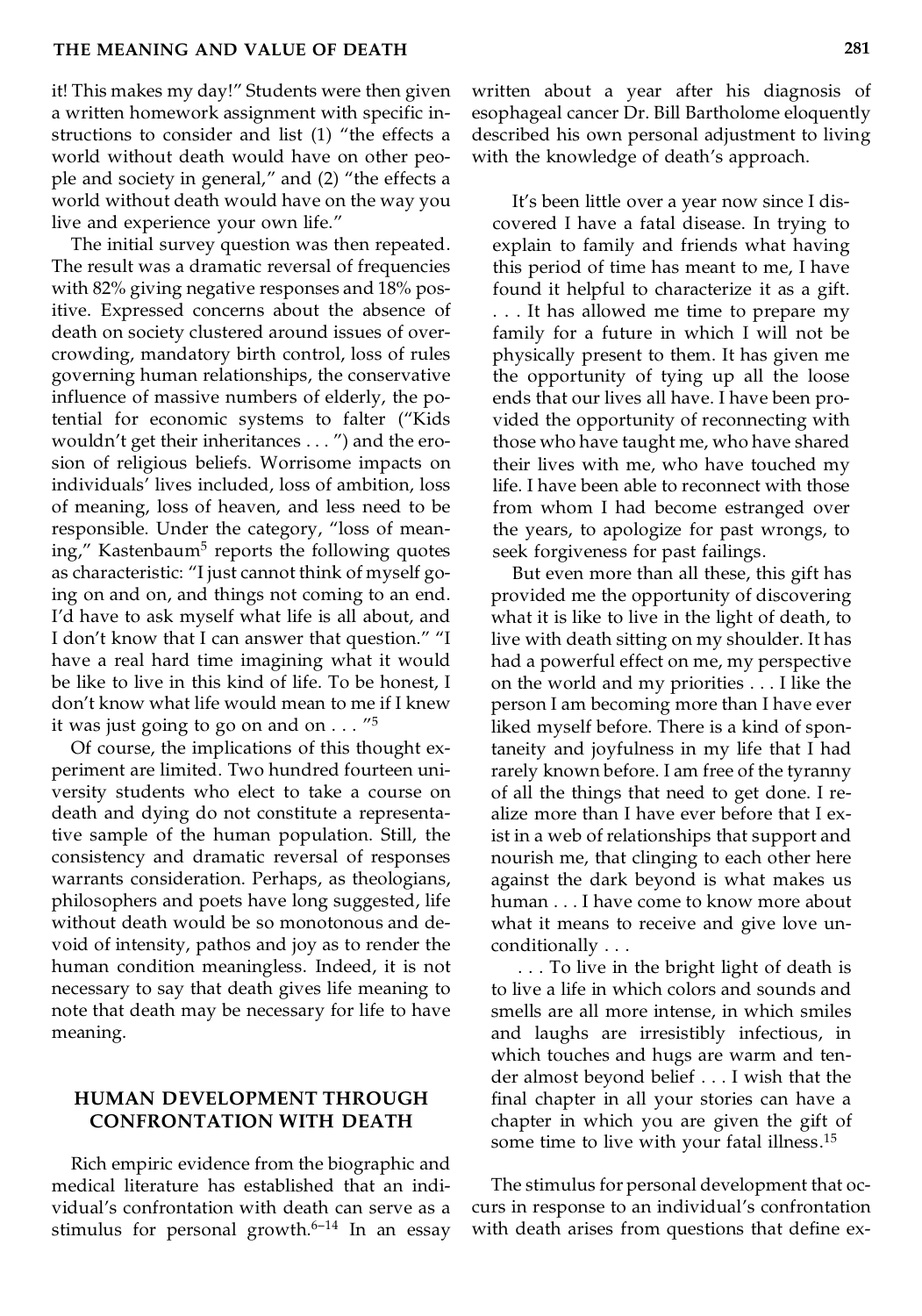it! This makes my day!" Students were then given a written homework assignment with specific in structions to consider and list (1) "the effects a world without death would have on other peo ple and society in general," and (2) "the effects a world without death would have on the way you live and experience your own life."

The initial survey question was then repeated. The result was a dramatic reversal of frequencies with 82% giving negative responses and 18% positive. Expressed concerns about the absence of death on society clustered around issues of over crowding, mandatory birth control, loss of rules governing human relationships, the conservative influence of massive numbers of elderly, the potential for economic systems to falter ("Kids wouldn't get their inheritances . . . ") and the ero sion of religious beliefs. Worrisome impacts on individuals' lives included, loss of ambition, loss of meaning, loss of heaven, and less need to be responsible. Under the category, "loss of meaning," Kastenbaum<sup>5</sup> reports the following quotes as characteristic: "I just cannot think of myself going on and on, and things not coming to an end. I'd have to ask myself what life is all about, and I don't know that I can answer that question." "I have a real hard time imagining what it would be like to live in this kind of life. To be honest, I don't know what life would mean to me if I knew it was just going to go on and on . . . " 5

Of course, the implications of this thought ex periment are limited. Two hundred fourteen uni versity students who elect to take a course on death and dying do not constitute a representative sample of the human population. Still, the consistency and dramatic reversal of responses warrants consideration. Perhaps, as theologians, philosophers and poets have long suggested, life without death would be so monotonous and de void of intensity, pathos and joy as to render the human condition meaningless. Indeed, it is not necessary to say that death gives life meaning to note that death may be necessary for life to have meaning.

# **HUMAN DEVELOPMENT THROUGH CONFRONTATION WITH DEATH**

Rich empiric evidence from the biographic and medical literature has established that an indi vidual's confrontation with death can serve as a stimulus for personal growth. $6-14$  In an essay written about a year after his diagnosis of esophageal cancer Dr. Bill Bartholome eloquently described his own personal adjustment to living with the knowledge of death's approach.

It's been little over a year now since I dis covered I have a fatal disease. In trying to explain to family and friends what having this period of time has meant to me, I have found it helpful to characterize it as a gift. . . . It has allowed me time to prepare my family for a future in which I will not be physically present to them. It has given me the opportunity of tying up all the loose ends that our lives all have. I have been pro vided the opportunity of reconnecting with those who have taught me, who have shared their lives with me, who have touched my life. I have been able to reconnect with those from whom I had become estranged over the years, to apologize for past wrongs, to seek forgiveness for past failings.

But even more than all these, this gift has provided me the opportunity of discovering what it is like to live in the light of death, to live with death sitting on my shoulder. It has had a powerful effect on me, my perspective on the world and my priorities . . . I like the person I am becoming more than I have ever liked myself before. There is a kind of spontaneity and joyfulness in my life that I had rarely known before. I am free of the tyranny of all the things that need to get done. I re alize more than I have ever before that I exist in a web of relationships that support and nourish me, that clinging to each other here against the dark beyond is what makes us human . . . I have come to know more about what it means to receive and give love un conditionally . . .

. . . To live in the bright light of death is to live a life in which colors and sounds and smells are all more intense, in which smiles and laughs are irresistibly infectious, in which touches and hugs are warm and ten der almost beyond belief . . . I wish that the final chapter in all your stories can have a chapter in which you are given the gift of some time to live with your fatal illness.<sup>15</sup>

The stimulus for personal development that oc curs in response to an individual's confrontation with death arises from questions that define ex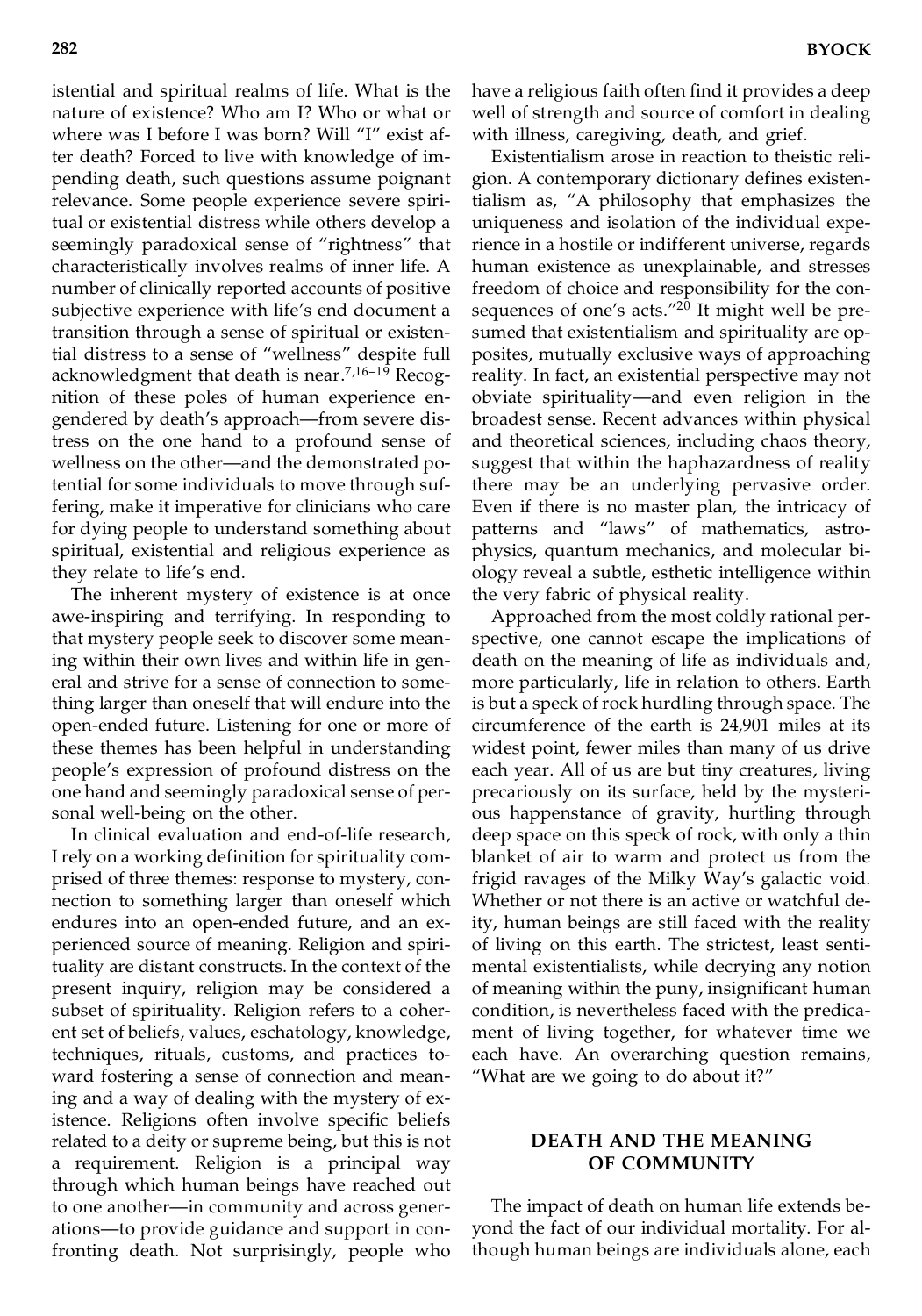istential and spiritual realms of life. What is the nature of existence? Who am I? Who or what or where was I before I was born? Will "I" exist after death? Forced to live with knowledge of im pending death, such questions assume poignant relevance. Some people experience severe spiritual or existential distress while others develop a seemingly paradoxical sense of "rightness" that characteristically involves realms of inner life. A number of clinically reported accounts of positive subjective experience with life's end document a transition through a sense of spiritual or existential distress to a sense of "wellness" despite full acknowledgment that death is near.<sup>7,16-19</sup> Recognition of these poles of human experience en gendered by death's approach—from severe distress on the one hand to a profound sense of wellness on the other—and the demonstrated potential for some individuals to move through suffering, make it imperative for clinicians who care for dying people to understand something about spiritual, existential and religious experience as they relate to life's end.

The inherent mystery of existence is at once awe-inspiring and terrifying. In responding to that mystery people seek to discover some meaning within their own lives and within life in gen eral and strive for a sense of connection to something larger than oneself that will endure into the open-ended future. Listening for one or more of these themes has been helpful in understanding people's expression of profound distress on the one hand and seemingly paradoxical sense of per sonal well-being on the other.

In clinical evaluation and end-of-life research, I rely on a working definition for spirituality com prised of three themes: response to mystery, con nection to something larger than oneself which endures into an open-ended future, and an ex perienced source of meaning. Religion and spirituality are distant constructs. In the context of the present inquiry, religion may be considered a subset of spirituality. Religion refers to a coher ent set of beliefs, values, eschatology, knowledge, techniques, rituals, customs, and practices to ward fostering a sense of connection and meaning and a way of dealing with the mystery of existence. Religions often involve specific beliefs related to a deity or supreme being, but this is not a requirement. Religion is a principal way through which human beings have reached out to one another—in community and across gener ations—to provide guidance and support in confronting death. Not surprisingly, people who have a religious faith often find it provides a deep well of strength and source of comfort in dealing with illness, caregiving, death, and grief.

Existentialism arose in reaction to theistic reli gion. A contemporary dictionary defines existentialism as, "A philosophy that emphasizes the uniqueness and isolation of the individual expe rience in a hostile or indifferent universe, regards human existence as unexplainable, and stresses freedom of choice and responsibility for the con sequences of one's acts."<sup>20</sup> It might well be presumed that existentialism and spirituality are op posites, mutually exclusive ways of approaching reality. In fact, an existential perspective may not obviate spirituality—and even religion in the broadest sense. Recent advances within physical and theoretical sciences, including chaos theory, suggest that within the haphazardness of reality there may be an underlying pervasive order. Even if there is no master plan, the intricacy of patterns and "laws" of mathematics, astro physics, quantum mechanics, and molecular bi ology reveal a subtle, esthetic intelligence within the very fabric of physical reality.

Approached from the most coldly rational per spective, one cannot escape the implications of death on the meaning of life as individuals and, more particularly, life in relation to others. Earth is but a speck of rock hurdling through space. The circumference of the earth is 24,901 miles at its widest point, fewer miles than many of us drive each year. All of us are but tiny creatures, living precariously on its surface, held by the mysteri ous happenstance of gravity, hurtling through deep space on this speck of rock, with only a thin blanket of air to warm and protect us from the frigid ravages of the Milky Way's galactic void. Whether or not there is an active or watchful deity, human beings are still faced with the reality of living on this earth. The strictest, least senti mental existentialists, while decrying any notion of meaning within the puny, insignificant human condition, is nevertheless faced with the predica ment of living together, for whatever time we each have. An overarching question remains, "What are we going to do about it?"

#### **DEATH AND THE MEANING OF COMMUNITY**

The impact of death on human life extends be yond the fact of our individual mortality. For although human beings are individuals alone, each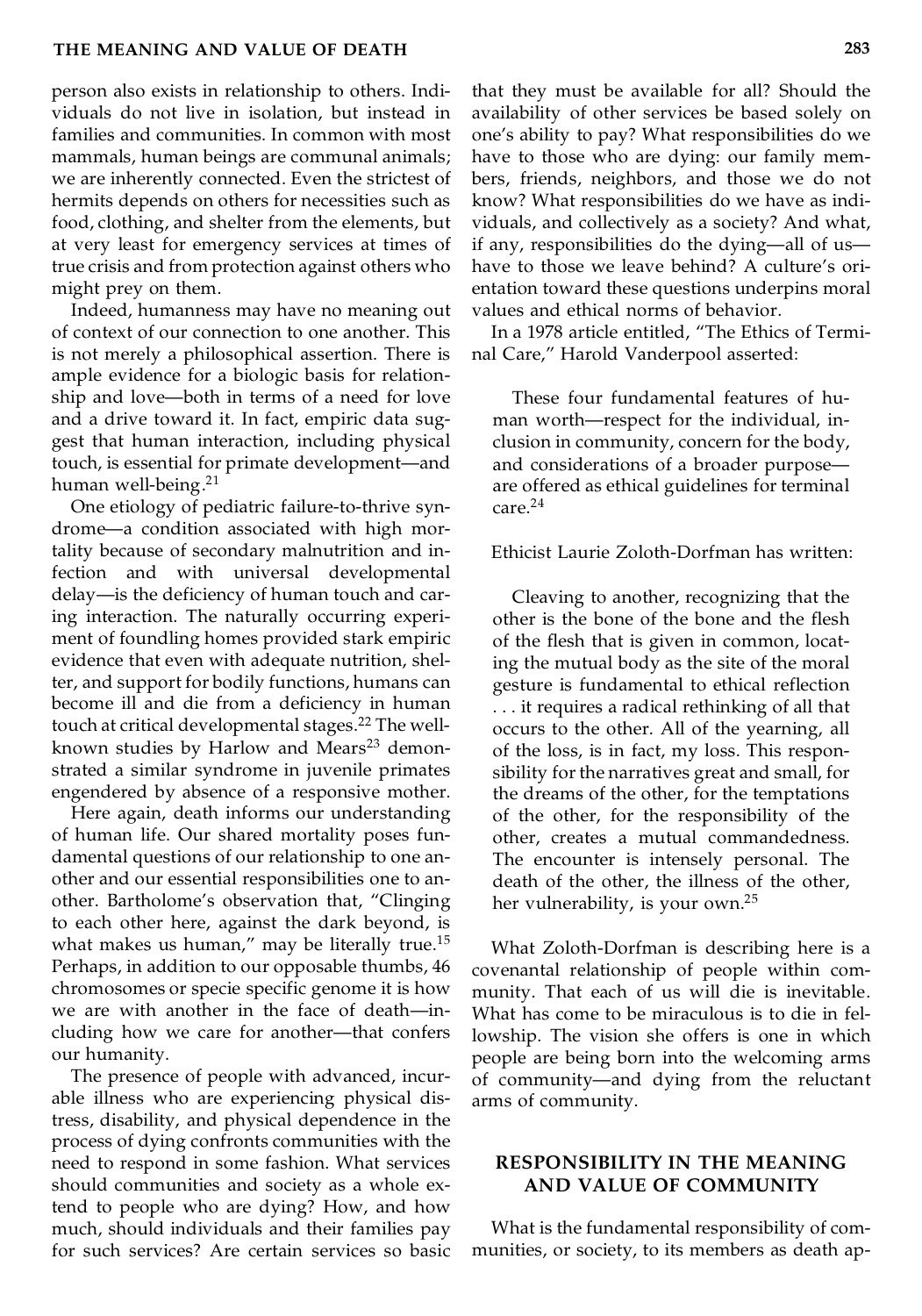## **THE MEANING AND VALUE OF DEATH 283**

person also exists in relationship to others. Indi viduals do not live in isolation, but instead in families and communities. In common with most mammals, human beings are communal animals; we are inherently connected. Even the strictest of hermits depends on others for necessities such as food, clothing, and shelter from the elements, but at very least for emergency services at times of true crisis and from protection against others who might prey on them.

Indeed, humanness may have no meaning out of context of our connection to one another. This is not merely a philosophical assertion. There is ample evidence for a biologic basis for relation ship and love—both in terms of a need for love and a drive toward it. In fact, empiric data sug gest that human interaction, including physical touch, is essential for primate development—and human well-being.<sup>21</sup>

One etiology of pediatric failure-to-thrive syn drome—a condition associated with high mortality because of secondary malnutrition and infection and with universal developmental delay—is the deficiency of human touch and caring interaction. The naturally occurring experi ment of foundling homes provided stark empiric evidence that even with adequate nutrition, shelter, and support for bodily functions, humans can become ill and die from a deficiency in human touch at critical developmental stages.<sup>22</sup> The wellknown studies by Harlow and Mears<sup>23</sup> demonstrated a similar syndrome in juvenile primates engendered by absence of a responsive mother.

Here again, death informs our understanding of human life. Our shared mortality poses fun damental questions of our relationship to one an other and our essential responsibilities one to an other. Bartholome's observation that, "Clinging to each other here, against the dark beyond, is what makes us human," may be literally true. $15$ Perhaps, in addition to our opposable thumbs, 46 chromosomes or specie specific genome it is how we are with another in the face of death—in cluding how we care for another—that confers our humanity.

The presence of people with advanced, incur able illness who are experiencing physical distress, disability, and physical dependence in the process of dying confronts communities with the need to respond in some fashion. What services should communities and society as a whole extend to people who are dying? How, and how much, should individuals and their families pay for such services? Are certain services so basic

that they must be available for all? Should the availability of other services be based solely on one's ability to pay? What responsibilities do we have to those who are dying: our family mem bers, friends, neighbors, and those we do not know? What responsibilities do we have as indi viduals, and collectively as a society? And what, if any, responsibilities do the dying—all of us have to those we leave behind? A culture's ori entation toward these questions underpins moral values and ethical norms of behavior.

In a 1978 article entitled, "The Ethics of Termi nal Care," Harold Vanderpool asserted:

These four fundamental features of hu man worth—respect for the individual, in clusion in community, concern for the body, and considerations of a broader purpose are offered as ethical guidelines for terminal care.<sup>24</sup>

Ethicist Laurie Zoloth-Dorfman has written:

Cleaving to another, recognizing that the other is the bone of the bone and the flesh of the flesh that is given in common, locating the mutual body as the site of the moral gesture is fundamental to ethical reflection . . . it requires a radical rethinking of all that occurs to the other. All of the yearning, all of the loss, is in fact, my loss. This respon sibility for the narratives great and small, for the dreams of the other, for the temptations of the other, for the responsibility of the other, creates a mutual commandedness. The encounter is intensely personal. The death of the other, the illness of the other, her vulnerability, is your own.<sup>25</sup>

What Zoloth-Dorfman is describing here is a covenantal relationship of people within com munity. That each of us will die is inevitable. What has come to be miraculous is to die in fellowship. The vision she offers is one in which people are being born into the welcoming arms of community—and dying from the reluctant arms of community.

#### **RESPONSIBILITY IN THE MEANING AND VALUE OF COMMUNITY**

What is the fundamental responsibility of com munities, or society, to its members as death ap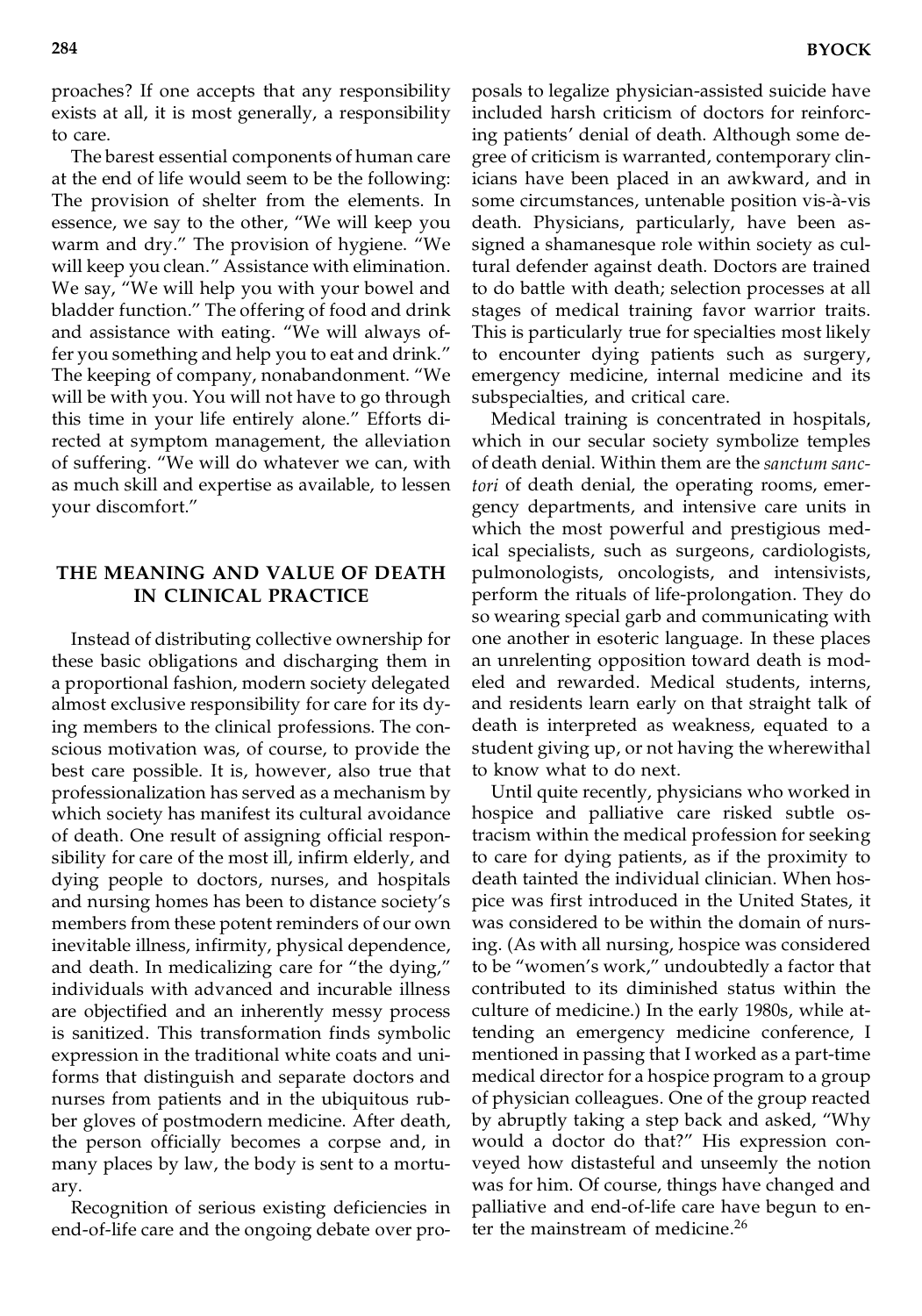proaches? If one accepts that any responsibility exists at all, it is most generally, a responsibility to care.

The barest essential components of human care at the end of life would seem to be the following: The provision of shelter from the elements. In essence, we say to the other, "We will keep you warm and dry." The provision of hygiene. "We will keep you clean." Assistance with elimination. We say, "We will help you with your bowel and bladder function." The offering of food and drink and assistance with eating. "We will always offer you something and help you to eat and drink." The keeping of company, nonabandonment. "We will be with you. You will not have to go through this time in your life entirely alone." Efforts di rected at symptom management, the alleviation of suffering. "We will do whatever we can, with as much skill and expertise as available, to lessen your discomfort."

### **THE MEANING AND VALUE OF DEATH IN CLINICAL PRACTICE**

Instead of distributing collective ownership for these basic obligations and discharging them in a proportional fashion, modern society delegated almost exclusive responsibility for care for its dying members to the clinical professions. The con scious motivation was, of course, to provide the best care possible. It is, however, also true that professionalization has served as a mechanism by which society has manifest its cultural avoidance of death. One result of assigning official respon sibility for care of the most ill, infirm elderly, and dying people to doctors, nurses, and hospitals and nursing homes has been to distance society's members from these potent reminders of our own inevitable illness, infirmity, physical dependence, and death. In medicalizing care for "the dying," individuals with advanced and incurable illness are objectified and an inherently messy process is sanitized. This transformation finds symbolic expression in the traditional white coats and uniforms that distinguish and separate doctors and nurses from patients and in the ubiquitous rub ber gloves of postmodern medicine. After death, the person officially becomes a corpse and, in many places by law, the body is sent to a mortu ary.

Recognition of serious existing deficiencies in end-of-life care and the ongoing debate over pro-

posals to legalize physician-assisted suicide have included harsh criticism of doctors for reinforcing patients' denial of death. Although some de gree of criticism is warranted, contemporary clinicians have been placed in an awkward, and in some circumstances, untenable position vis-à-vis death. Physicians, particularly, have been as signed a shamanesque role within society as cultural defender against death. Doctors are trained to do battle with death; selection processes at all stages of medical training favor warrior traits. This is particularly true for specialties most likely to encounter dying patients such as surgery, emergency medicine, internal medicine and its subspecialties, and critical care.

Medical training is concentrated in hospitals, which in our secular society symbolize temples of death denial. Within them are the *sanctum sanctori* of death denial, the operating rooms, emer gency departments, and intensive care units in which the most powerful and prestigious medical specialists, such as surgeons, cardiologists, pulmonologists, oncologists, and intensivists, perform the rituals of life-prolongation. They do so wearing special garb and communicating with one another in esoteric language. In these places an unrelenting opposition toward death is mod eled and rewarded. Medical students, interns, and residents learn early on that straight talk of death is interpreted as weakness, equated to a student giving up, or not having the wherewithal to know what to do next.

Until quite recently, physicians who worked in hospice and palliative care risked subtle ostracism within the medical profession for seeking to care for dying patients, as if the proximity to death tainted the individual clinician. When hos pice was first introduced in the United States, it was considered to be within the domain of nursing. (As with all nursing, hospice was considered to be "women's work," undoubtedly a factor that contributed to its diminished status within the culture of medicine.) In the early 1980s, while attending an emergency medicine conference, I mentioned in passing that I worked as a part-time medical director for a hospice program to a group of physician colleagues. One of the group reacted by abruptly taking a step back and asked, "Why would a doctor do that?" His expression con veyed how distasteful and unseemly the notion was for him. Of course, things have changed and palliative and end-of-life care have begun to enter the mainstream of medicine.<sup>26</sup>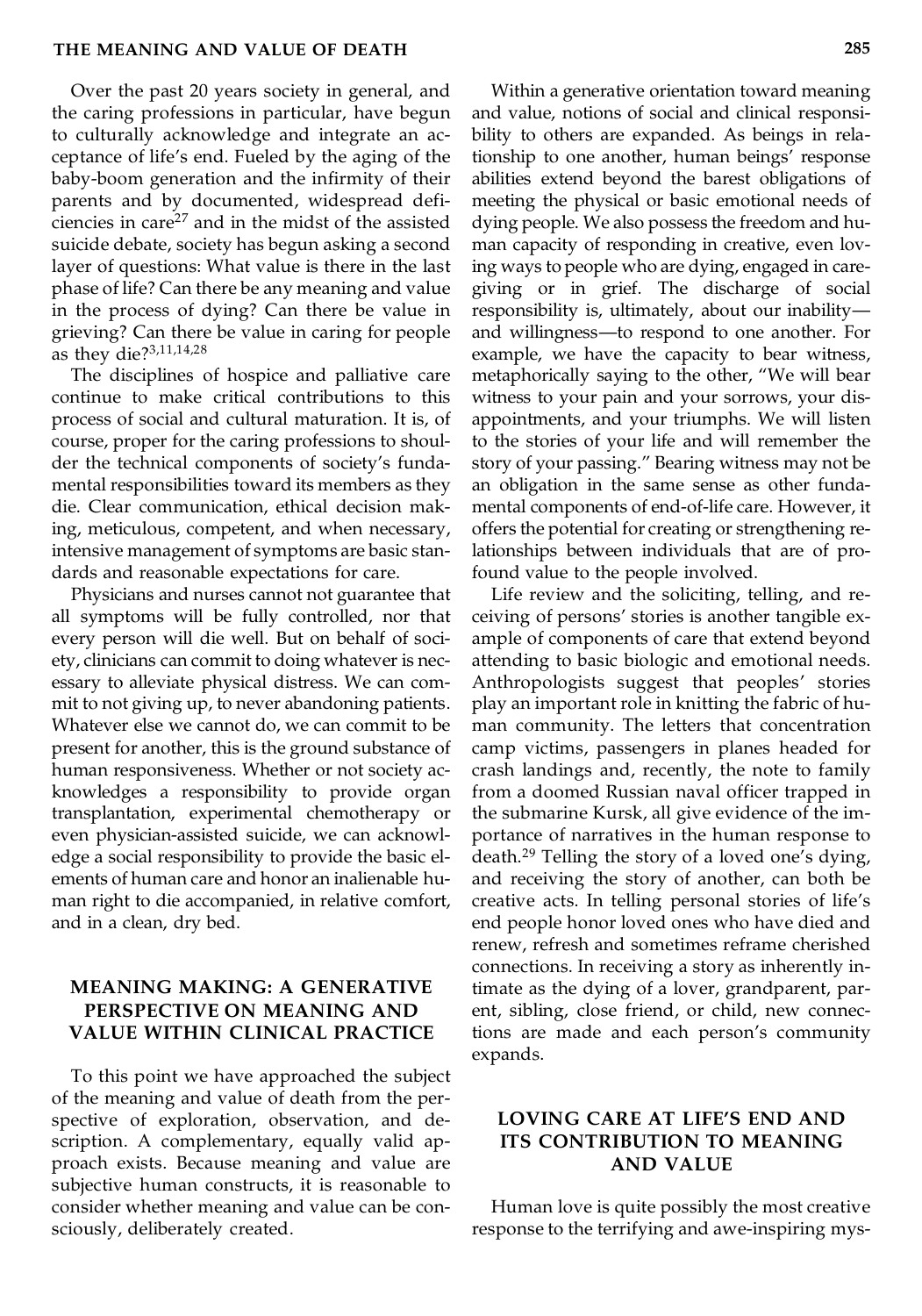### **THE MEANING AND VALUE OF DEATH 285**

Over the past 20 years society in general, and the caring professions in particular, have begun to culturally acknowledge and integrate an ac ceptance of life's end. Fueled by the aging of the baby-boom generation and the infirmity of their parents and by documented, widespread defi ciencies in care<sup>27</sup> and in the midst of the assisted d suicide debate, society has begun asking a second layer of questions: What value is there in the last phase of life? Can there be any meaning and value in the process of dying? Can there be value in grieving? Can there be value in caring for people as they die? 3,11,14,28

The disciplines of hospice and palliative care continue to make critical contributions to this process of social and cultural maturation. It is, of course, proper for the caring professions to shoul der the technical components of society's funda mental responsibilities toward its members as they die. Clear communication, ethical decision making, meticulous, competent, and when necessary, intensive management of symptoms are basic stan dards and reasonable expectations for care.

Physicians and nurses cannot not guarantee that all symptoms will be fully controlled, nor that every person will die well. But on behalf of soci ety, clinicians can commit to doing whatever is nec essary to alleviate physical distress. We can com mit to not giving up, to never abandoning patients. Whatever else we cannot do, we can commit to be present for another, this is the ground substance of human responsiveness. Whether or not society ac knowledges a responsibility to provide organ transplantation, experimental chemotherapy or even physician-assisted suicide, we can acknowl edge a social responsibility to provide the basic el ements of human care and honor an inalienable hu man right to die accompanied, in relative comfort, and in a clean, dry bed.

# **MEANING MAKING: A GENERATIVE PERSPECTIVE ON MEANING AND VALUE WITHIN CLINICAL PRACTICE**

To this point we have approached the subject of the meaning and value of death from the per spective of exploration, observation, and de scription. A complementary, equally valid ap proach exists. Because meaning and value are subjective human constructs, it is reasonable to consider whether meaning and value can be con sciously, deliberately created.

Within a generative orientation toward meaning and value, notions of social and clinical responsi bility to others are expanded. As beings in relationship to one another, human beings' response abilities extend beyond the barest obligations of meeting the physical or basic emotional needs of dying people. We also possess the freedom and hu man capacity of responding in creative, even loving ways to people who are dying, engaged in care giving or in grief. The discharge of social responsibility is, ultimately, about our inability and willingness—to respond to one another. For example, we have the capacity to bear witness, metaphorically saying to the other, "We will bear witness to your pain and your sorrows, your dis appointments, and your triumphs. We will listen to the stories of your life and will remember the story of your passing." Bearing witness may not be an obligation in the same sense as other funda mental components of end-of-life care. However, it offers the potential for creating or strengthening relationships between individuals that are of profound value to the people involved.

Life review and the soliciting, telling, and re ceiving of persons' stories is another tangible ex ample of components of care that extend beyond attending to basic biologic and emotional needs. Anthropologists suggest that peoples' stories play an important role in knitting the fabric of hu man community. The letters that concentration camp victims, passengers in planes headed for crash landings and, recently, the note to family from a doomed Russian naval officer trapped in the submarine Kursk, all give evidence of the im portance of narratives in the human response to death.<sup>29</sup> Telling the story of a loved one's dying, and receiving the story of another, can both be creative acts. In telling personal stories of life's end people honor loved ones who have died and renew, refresh and sometimes reframe cherished connections. In receiving a story as inherently intimate as the dying of a lover, grandparent, par ent, sibling, close friend, or child, new connections are made and each person's community expands.

## **LOVING CARE AT LIFE'S END AND ITS CONTRIBUTION TO MEANING AND VALUE**

Human love is quite possibly the most creative response to the terrifying and awe-inspiring mys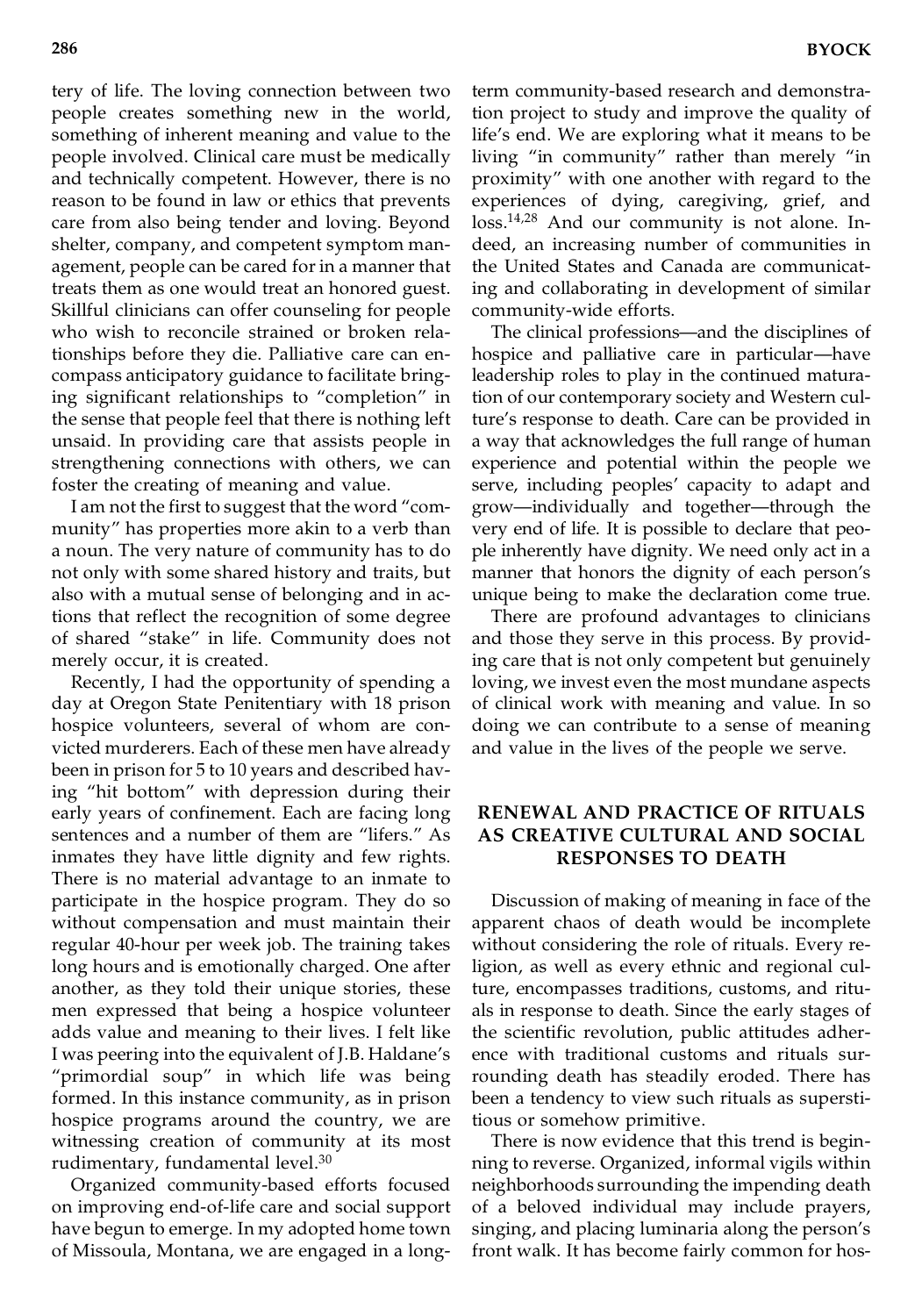tery of life. The loving connection between two people creates something new in the world, something of inherent meaning and value to the people involved. Clinical care must be medically and technically competent. However, there is no reason to be found in law or ethics that prevents care from also being tender and loving. Beyond shelter, company, and competent symptom man agement, people can be cared for in a manner that treats them as one would treat an honored guest. Skillful clinicians can offer counseling for people who wish to reconcile strained or broken relationships before they die. Palliative care can en compass anticipatory guidance to facilitate bringing significant relationships to "completion" in the sense that people feel that there is nothing left unsaid. In providing care that assists people in strengthening connections with others, we can foster the creating of meaning and value.

I am not the first to suggest that the word "com munity" has properties more akin to a verb than a noun. The very nature of community has to do not only with some shared history and traits, but also with a mutual sense of belonging and in actions that reflect the recognition of some degree of shared "stake" in life. Community does not merely occur, it is created.

Recently, I had the opportunity of spending a day at Oregon State Penitentiary with 18 prison hospice volunteers, several of whom are con victed murderers. Each of these men have already been in prison for 5 to 10 years and described having "hit bottom" with depression during their early years of confinement. Each are facing long sentences and a number of them are "lifers." As inmates they have little dignity and few rights. There is no material advantage to an inmate to participate in the hospice program. They do so without compensation and must maintain their regular 40-hour per week job. The training takes long hours and is emotionally charged. One after another, as they told their unique stories, these men expressed that being a hospice volunteer adds value and meaning to their lives. I felt like I was peering into the equivalent of J.B. Haldane's "primordial soup" in which life was being formed. In this instance community, as in prison hospice programs around the country, we are witnessing creation of community at its most rudimentary, fundamental level.<sup>30</sup>

Organized community-based efforts focused on improving end-of-life care and social support have begun to emerge. In my adopted home town of Missoula, Montana, we are engaged in a longterm community-based research and demonstration project to study and improve the quality of life's end. We are exploring what it means to be living "in community" rather than merely "in proximity" with one another with regard to the experiences of dying, caregiving, grief, and loss.14,28 And our community is not alone. In deed, an increasing number of communities in the United States and Canada are communicating and collaborating in development of similar community-wide efforts.

The clinical professions—and the disciplines of hospice and palliative care in particular—have leadership roles to play in the continued maturation of our contemporary society and Western culture's response to death. Care can be provided in a way that acknowledges the full range of human experience and potential within the people we serve, including peoples' capacity to adapt and grow—individually and together—through the very end of life. It is possible to declare that peo ple inherently have dignity. We need only act in a manner that honors the dignity of each person's unique being to make the declaration come true.

There are profound advantages to clinicians and those they serve in this process. By providing care that is not only competent but genuinely loving, we invest even the most mundane aspects of clinical work with meaning and value. In so doing we can contribute to a sense of meaning and value in the lives of the people we serve.

# **RENEWAL AND PRACTICE OF RITUALS AS CREATIVE CULTURAL AND SOCIAL RESPONSES TO DEATH**

Discussion of making of meaning in face of the apparent chaos of death would be incomplete without considering the role of rituals. Every religion, as well as every ethnic and regional culture, encompasses traditions, customs, and ritu als in response to death. Since the early stages of the scientific revolution, public attitudes adher ence with traditional customs and rituals sur rounding death has steadily eroded. There has been a tendency to view such rituals as superstitious or somehow primitive.

There is now evidence that this trend is begin ning to reverse. Organized, informal vigils within neighborhoods surrounding the impending death of a beloved individual may include prayers, singing, and placing luminaria along the person's front walk. It has become fairly common for hos-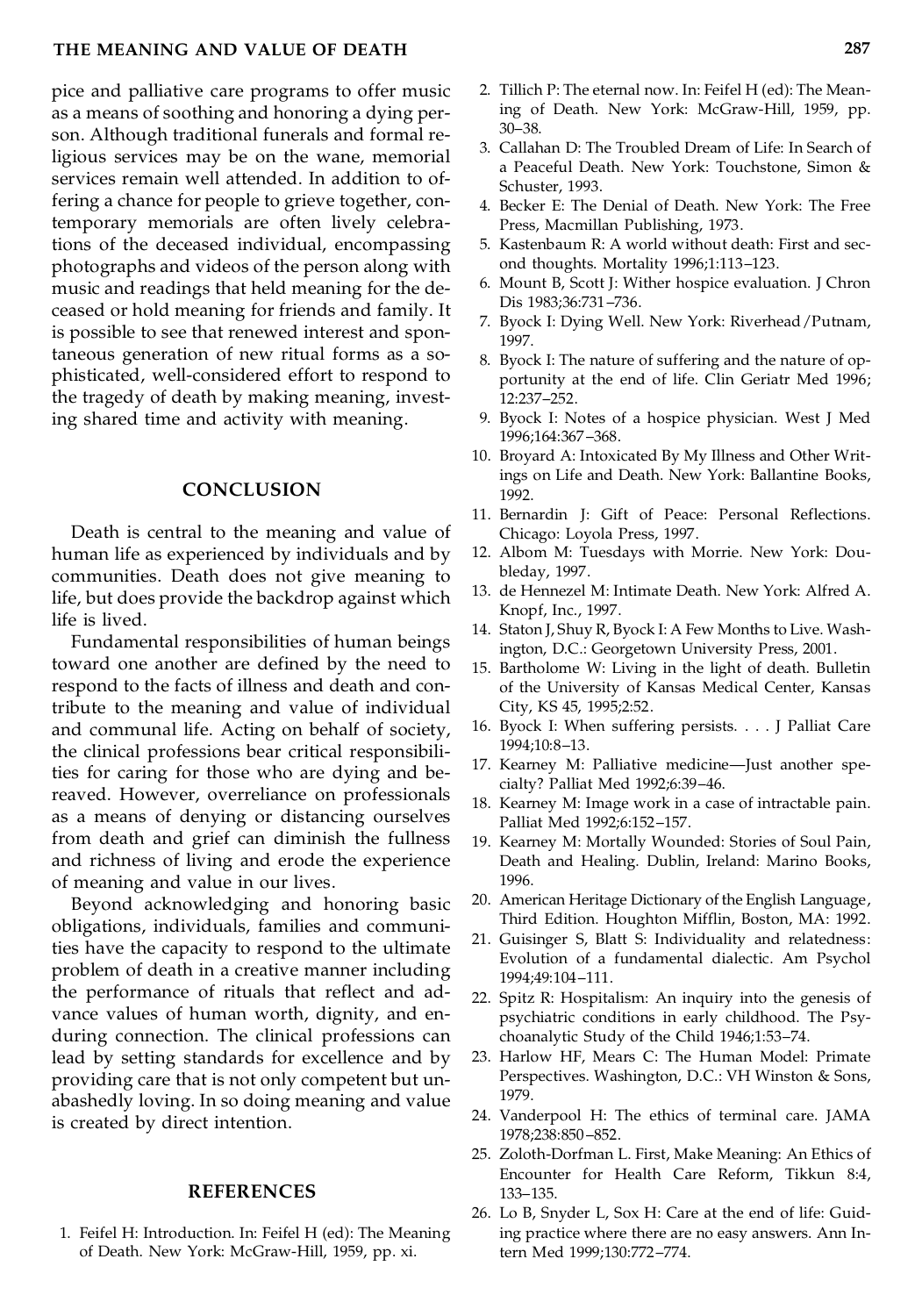## **THE MEANING AND VALUE OF DEATH 287**

pice and palliative care programs to offer music as a means of soothing and honoring a dying per son. Although traditional funerals and formal religious services may be on the wane, memorial services remain well attended. In addition to offering a chance for people to grieve together, contemporary memorials are often lively celebrations of the deceased individual, encompassing photographs and videos of the person along with music and readings that held meaning for the de ceased or hold meaning for friends and family. It is possible to see that renewed interest and spontaneous generation of new ritual forms as a so phisticated, well-considered effort to respond to the tragedy of death by making meaning, investing shared time and activity with meaning.

#### **CONCLUSION**

Death is central to the meaning and value of human life as experienced by individuals and by communities. Death does not give meaning to life, but does provide the backdrop against which life is lived.

Fundamental responsibilities of human beings toward one another are defined by the need to respond to the facts of illness and death and contribute to the meaning and value of individual and communal life. Acting on behalf of society, the clinical professions bear critical responsibilities for caring for those who are dying and be reaved. However, overreliance on professionals as a means of denying or distancing ourselves from death and grief can diminish the fullness and richness of living and erode the experience of meaning and value in our lives.

Beyond acknowledging and honoring basic obligations, individuals, families and communities have the capacity to respond to the ultimate problem of death in a creative manner including the performance of rituals that reflect and ad vance values of human worth, dignity, and en during connection. The clinical professions can lead by setting standards for excellence and by providing care that is not only competent but un abashedly loving. In so doing meaning and value is created by direct intention.

#### **REFERENCES**

1. Feifel H: Introduction. In: Feifel H (ed): The Meaning of Death. New York: McGraw-Hill, 1959, pp. xi.

- 2. Tillich P: The eternal now. In: Feifel H (ed): The Meaning of Death. New York: McGraw-Hill, 1959, pp. 30–38.
- 3. Callahan D: The Troubled Dream of Life: In Search of a Peaceful Death. New York: Touchstone, Simon & Schuster, 1993.
- 4. Becker E: The Denial of Death. New York: The Free Press, Macmillan Publishing, 1973.
- 5. Kastenbaum R: A world without death: First and sec ond thoughts. Mortality 1996;1:113–123.
- 6. Mount B, Scott J: Wither hospice evaluation. J Chron Dis 1983;36:731–736.
- 7. Byock I: Dying Well. New York: Riverhead/Putnam, 1997.
- 8. Byock I: The nature of suffering and the nature of op portunity at the end of life. Clin Geriatr Med 1996; 12:237–252.
- 9. Byock I: Notes of a hospice physician. West J Med 1996;164:367–368.
- 10. Broyard A: Intoxicated By My Illness and Other Writings on Life and Death. New York: Ballantine Books, 1992.
- 11. Bernardin J: Gift of Peace: Personal Reflections. Chicago: Loyola Press, 1997.
- 12. Albom M: Tuesdays with Morrie. New York: Dou bleday, 1997.
- 13. de Hennezel M: Intimate Death. New York: Alfred A. Knopf, Inc., 1997.
- 14. Staton J, Shuy R, Byock I: A Few Months to Live. Washington, D.C.: Georgetown University Press, 2001.
- 15. Bartholome W: Living in the light of death. Bulletin of the University of Kansas Medical Center, Kansas City, KS 45, 1995;2:52.
- 16. Byock I: When suffering persists. . . . J Palliat Care 1994;10:8–13.
- 17. Kearney M: Palliative medicine—Just another spe cialty? Palliat Med 1992;6:39–46.
- 18. Kearney M: Image work in a case of intractable pain. Palliat Med 1992;6:152–157.
- 19. Kearney M: Mortally Wounded: Stories of Soul Pain, Death and Healing. Dublin, Ireland: Marino Books, 1996.
- 20. American Heritage Dictionary of the English Language, Third Edition. Houghton Mifflin, Boston, MA: 1992.
- 21. Guisinger S, Blatt S: Individuality and relatedness: Evolution of a fundamental dialectic. Am Psychol 1994;49:104–111.
- 22. Spitz R: Hospitalism: An inquiry into the genesis of psychiatric conditions in early childhood. The Psy choanalytic Study of the Child 1946;1:53–74.
- 23. Harlow HF, Mears C: The Human Model: Primate Perspectives. Washington, D.C.: VH Winston & Sons, 1979.
- 24. Vanderpool H: The ethics of terminal care. JAMA 1978;238:850–852.
- 25. Zoloth-Dorfman L. First, Make Meaning: An Ethics of Encounter for Health Care Reform, Tikkun 8:4, 133–135.
- 26. Lo B, Snyder L, Sox H: Care at the end of life: Guiding practice where there are no easy answers. Ann Intern Med 1999;130:772–774.